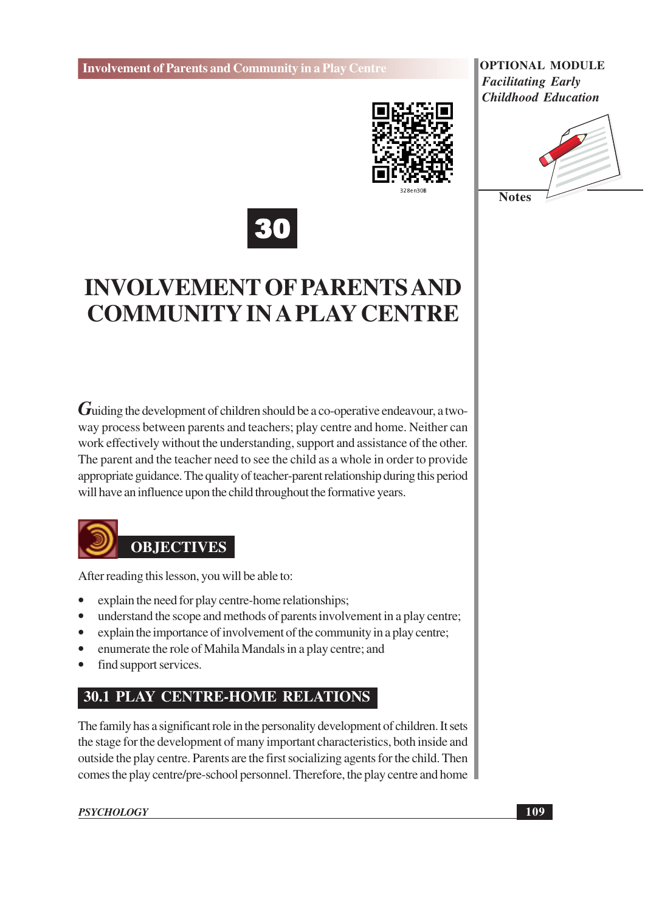

**OPTIONAL MODULE Facilitating Early Childhood Education** 





# **INVOLVEMENT OF PARENTS AND COMMUNITY IN A PLAY CENTRE**

 $G$ uiding the development of children should be a co-operative endeavour, a twoway process between parents and teachers; play centre and home. Neither can work effectively without the understanding, support and assistance of the other. The parent and the teacher need to see the child as a whole in order to provide appropriate guidance. The quality of teacher-parent relationship during this period will have an influence upon the child throughout the formative years.



After reading this lesson, you will be able to:

- explain the need for play centre-home relationships;
- $\bullet$ understand the scope and methods of parents involvement in a play centre;
- explain the importance of involvement of the community in a play centre;
- enumerate the role of Mahila Mandals in a play centre; and
- find support services.

# **30.1 PLAY CENTRE-HOME RELATIONS**

The family has a significant role in the personality development of children. It sets the stage for the development of many important characteristics, both inside and outside the play centre. Parents are the first socializing agents for the child. Then comes the play centre/pre-school personnel. Therefore, the play centre and home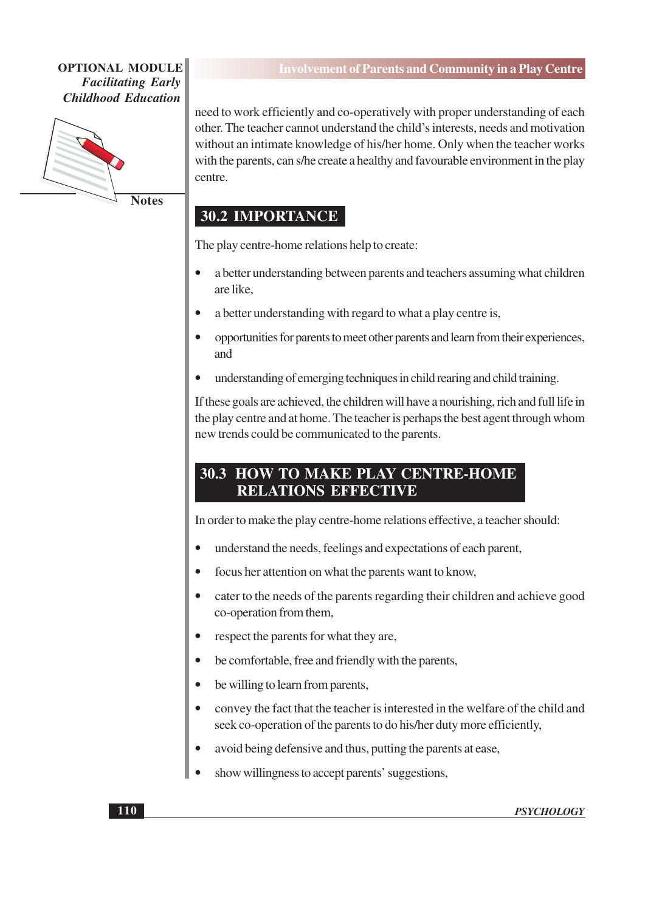

**Notes** 

need to work efficiently and co-operatively with proper understanding of each other. The teacher cannot understand the child's interests, needs and motivation without an intimate knowledge of his/her home. Only when the teacher works with the parents, can s/he create a healthy and favourable environment in the play centre.

### **30.2 IMPORTANCE**

The play centre-home relations help to create:

- a better understanding between parents and teachers assuming what children are like.
- a better understanding with regard to what a play centre is,
- opportunities for parents to meet other parents and learn from their experiences. and
- understanding of emerging techniques in child rearing and child training.

If these goals are achieved, the children will have a nourishing, rich and full life in the play centre and at home. The teacher is perhaps the best agent through whom new trends could be communicated to the parents.

### **30.3 HOW TO MAKE PLAY CENTRE-HOME RELATIONS EFFECTIVE**

In order to make the play centre-home relations effective, a teacher should:

- understand the needs, feelings and expectations of each parent,
- focus her attention on what the parents want to know,
- cater to the needs of the parents regarding their children and achieve good co-operation from them,
- respect the parents for what they are.
- be comfortable, free and friendly with the parents,
- be willing to learn from parents,
- convey the fact that the teacher is interested in the welfare of the child and seek co-operation of the parents to do his/her duty more efficiently,
- avoid being defensive and thus, putting the parents at ease,
- show willingness to accept parents' suggestions,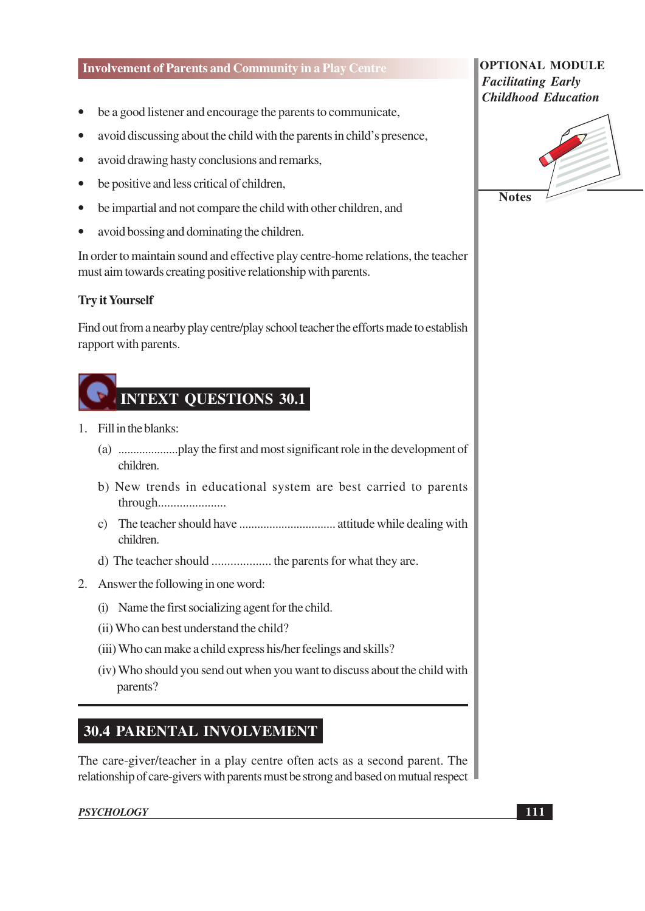- be a good listener and encourage the parents to communicate,
- avoid discussing about the child with the parents in child's presence,
- avoid drawing hasty conclusions and remarks,
- be positive and less critical of children,
- be impartial and not compare the child with other children, and
- avoid bossing and dominating the children.  $\bullet$

In order to maintain sound and effective play centre-home relations, the teacher must aim towards creating positive relationship with parents.

#### **Try it Yourself**

Find out from a nearby play centre/play school teacher the efforts made to establish rapport with parents.



- 1. Fill in the blanks:
	- children.
	- b) New trends in educational system are best carried to parents through.......................
	- children.
	-
- 2. Answer the following in one word:
	- (i) Name the first socializing agent for the child.
	- (ii) Who can best understand the child?
	- (iii) Who can make a child express his/her feelings and skills?
	- (iv) Who should you send out when you want to discuss about the child with parents?

# **30.4 PARENTAL INVOLVEMENT**

The care-giver/teacher in a play centre often acts as a second parent. The relationship of care-givers with parents must be strong and based on mutual respect

#### **PSYCHOLOGY**

#### **OPTIONAL MODULE Facilitating Early Childhood Education**



**111**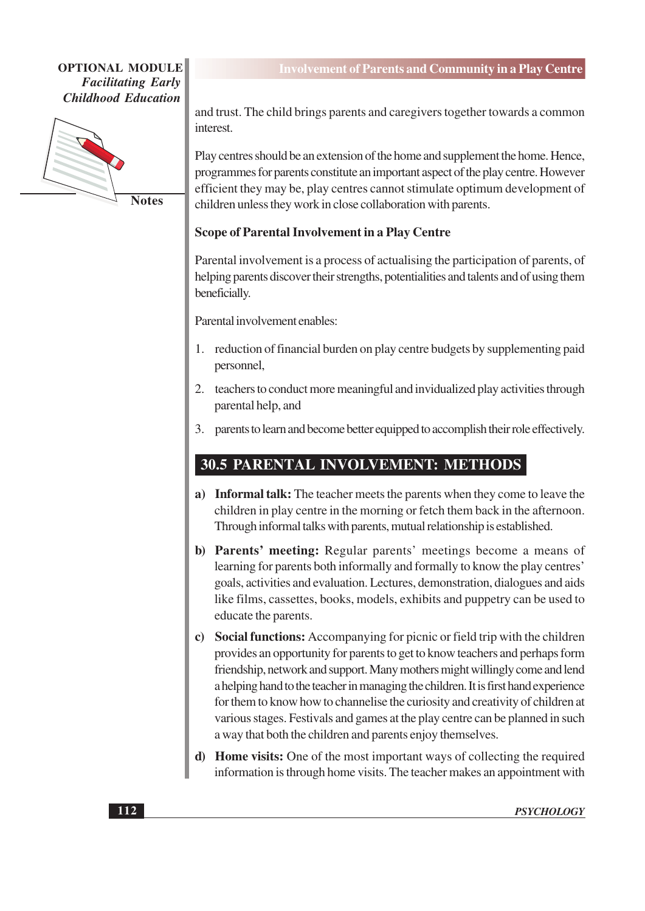

**Notes** 

and trust. The child brings parents and caregivers together towards a common interest

Play centres should be an extension of the home and supplement the home. Hence, programmes for parents constitute an important aspect of the play centre. However efficient they may be, play centres cannot stimulate optimum development of children unless they work in close collaboration with parents.

#### **Scope of Parental Involvement in a Play Centre**

Parental involvement is a process of actualising the participation of parents, of helping parents discover their strengths, potentialities and talents and of using them beneficially.

Parental involvement enables:

- 1. reduction of financial burden on play centre budgets by supplementing paid personnel,
- 2. teachers to conduct more meaningful and invidualized play activities through parental help, and
- 3. parents to learn and become better equipped to accomplish their role effectively.

# 30.5 PARENTAL INVOLVEMENT: METHODS

- a) Informal talk: The teacher meets the parents when they come to leave the children in play centre in the morning or fetch them back in the afternoon. Through informal talks with parents, mutual relationship is established.
- b) Parents' meeting: Regular parents' meetings become a means of learning for parents both informally and formally to know the play centres' goals, activities and evaluation. Lectures, demonstration, dialogues and aids like films, cassettes, books, models, exhibits and puppetry can be used to educate the parents.
- c) Social functions: Accompanying for picnic or field trip with the children provides an opportunity for parents to get to know teachers and perhaps form friendship, network and support. Many mothers might willingly come and lend a helping hand to the teacher in managing the children. It is first hand experience for them to know how to channelise the curiosity and creativity of children at various stages. Festivals and games at the play centre can be planned in such a way that both the children and parents enjoy themselves.
- d) Home visits: One of the most important ways of collecting the required information is through home visits. The teacher makes an appointment with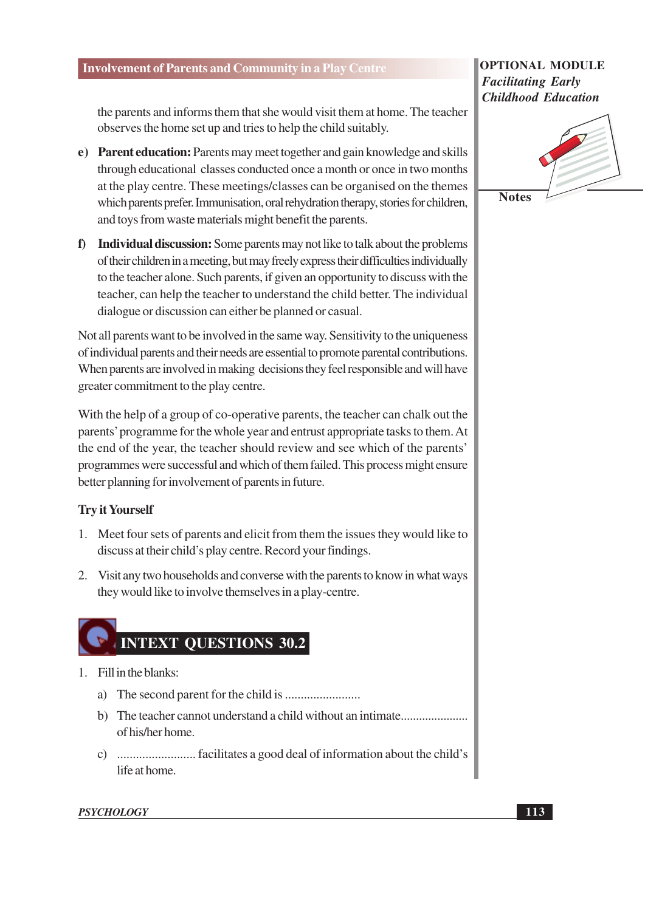the parents and informs them that she would visit them at home. The teacher observes the home set up and tries to help the child suitably.

- e) Parent education: Parents may meet together and gain knowledge and skills through educational classes conducted once a month or once in two months at the play centre. These meetings/classes can be organised on the themes which parents prefer. Immunisation, oral rehydration therapy, stories for children, and toys from waste materials might benefit the parents.
- f) Individual discussion: Some parents may not like to talk about the problems of their children in a meeting, but may freely express their difficulties individually to the teacher alone. Such parents, if given an opportunity to discuss with the teacher, can help the teacher to understand the child better. The individual dialogue or discussion can either be planned or casual.

Not all parents want to be involved in the same way. Sensitivity to the uniqueness of individual parents and their needs are essential to promote parental contributions. When parents are involved in making decisions they feel responsible and will have greater commitment to the play centre.

With the help of a group of co-operative parents, the teacher can chalk out the parents' programme for the whole year and entrust appropriate tasks to them. At the end of the year, the teacher should review and see which of the parents' programmes were successful and which of them failed. This process might ensure better planning for involvement of parents in future.

#### **Try it Yourself**

- 1. Meet four sets of parents and elicit from them the issues they would like to discuss at their child's play centre. Record your findings.
- 2. Visit any two households and converse with the parents to know in what ways they would like to involve themselves in a play-centre.

# **INTEXT QUESTIONS 30.2**

- 1. Fill in the blanks:
	-
	- b) The teacher cannot understand a child without an intimate..................... of his/her home.
	- life at home.

#### **OPTIONAL MODULE Facilitating Early Childhood Education**



**Notes** 

**PSYCHOLOGY**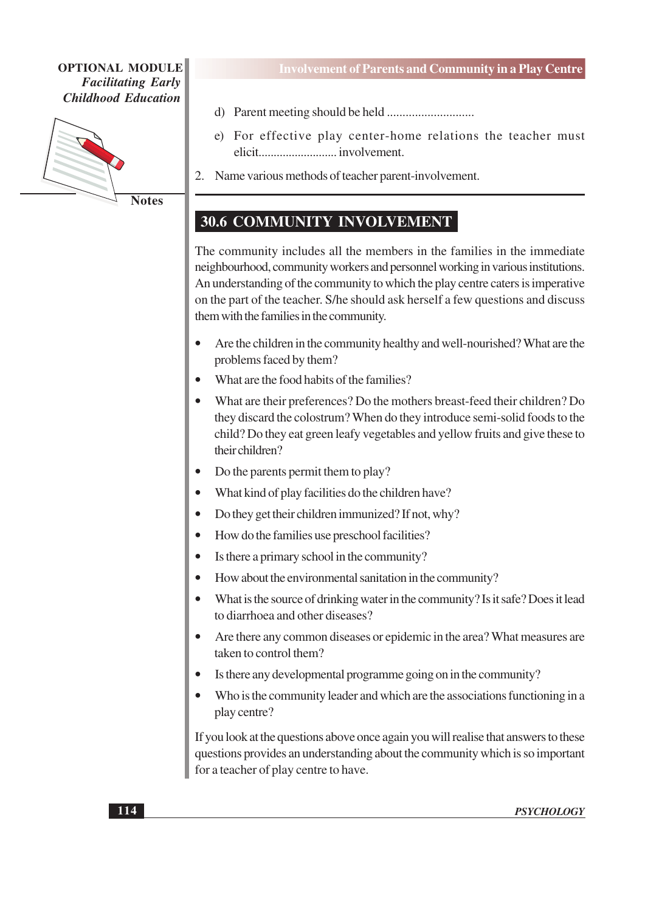

**Notes** 

- 
- e) For effective play center-home relations the teacher must
- 2. Name various methods of teacher parent-involvement.

# 30.6 COMMUNITY INVOLVEMENT

The community includes all the members in the families in the immediate neighbourhood, community workers and personnel working in various institutions. An understanding of the community to which the play centre caters is imperative on the part of the teacher. S/he should ask herself a few questions and discuss them with the families in the community.

- Are the children in the community healthy and well-nourished? What are the problems faced by them?
- What are the food habits of the families?
- What are their preferences? Do the mothers breast-feed their children? Do they discard the colostrum? When do they introduce semi-solid foods to the child? Do they eat green leafy vegetables and yellow fruits and give these to their children?
- Do the parents permit them to play?
- What kind of play facilities do the children have?
- Do they get their children immunized? If not, why?
- How do the families use preschool facilities?
- Is there a primary school in the community?
- How about the environmental sanitation in the community?
- What is the source of drinking water in the community? Is it safe? Does it lead to diarrhoea and other diseases?
- Are there any common diseases or epidemic in the area? What measures are taken to control them?
- Is there any developmental programme going on in the community?
- Who is the community leader and which are the associations functioning in a play centre?

If you look at the questions above once again you will realise that answers to these questions provides an understanding about the community which is so important for a teacher of play centre to have.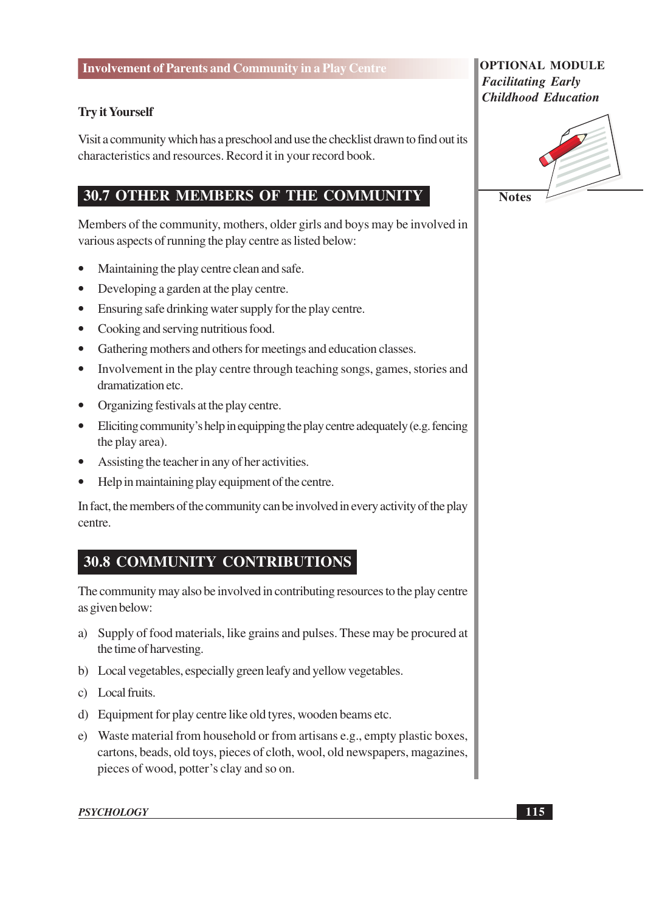#### **Try it Yourself**

Visit a community which has a preschool and use the checklist drawn to find out its characteristics and resources. Record it in your record book.

## **30.7 OTHER MEMBERS OF THE COMMUNITY**

Members of the community, mothers, older girls and boys may be involved in various aspects of running the play centre as listed below:

- Maintaining the play centre clean and safe.  $\bullet$
- $\bullet$ Developing a garden at the play centre.
- Ensuring safe drinking water supply for the play centre.
- Cooking and serving nutritious food.
- Gathering mothers and others for meetings and education classes.
- Involvement in the play centre through teaching songs, games, stories and dramatization etc.
- Organizing festivals at the play centre.
- Eliciting community's help in equipping the play centre adequately (e.g. fencing the play area).
- Assisting the teacher in any of her activities.
- Help in maintaining play equipment of the centre.  $\bullet$

In fact, the members of the community can be involved in every activity of the play centre.

# **30.8 COMMUNITY CONTRIBUTIONS**

The community may also be involved in contributing resources to the play centre as given below:

- a) Supply of food materials, like grains and pulses. These may be procured at the time of harvesting.
- b) Local vegetables, especially green leafy and yellow vegetables.
- c) Local fruits.
- d) Equipment for play centre like old tyres, wooden beams etc.
- e) Waste material from household or from artisans e.g., empty plastic boxes, cartons, beads, old toys, pieces of cloth, wool, old newspapers, magazines, pieces of wood, potter's clay and so on.

#### **PSYCHOLOGY**

#### **OPTIONAL MODULE Facilitating Early Childhood Education**

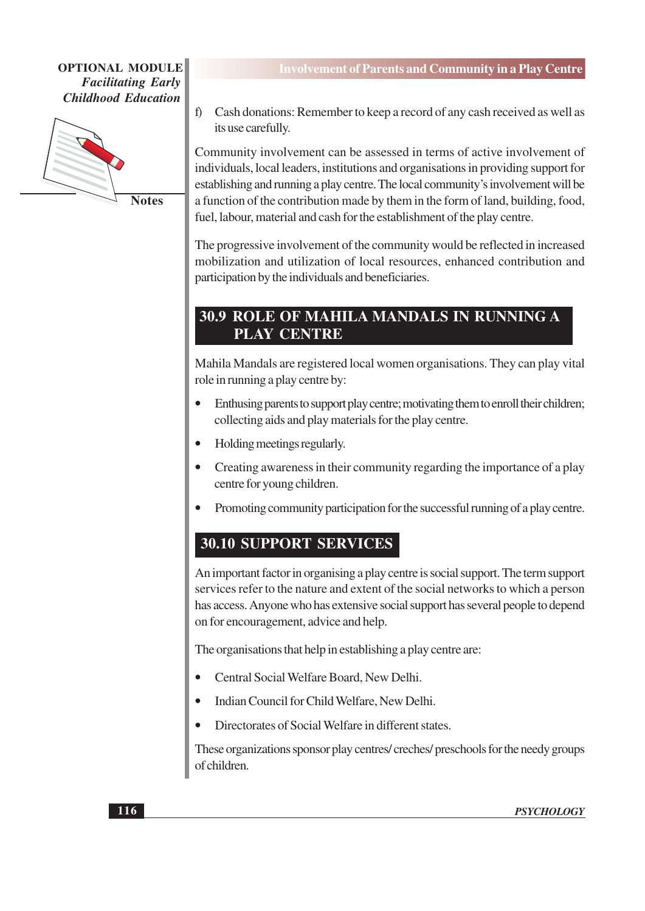

**Notes** 

Cash donations: Remember to keep a record of any cash received as well as  $f$ its use carefully.

Community involvement can be assessed in terms of active involvement of individuals, local leaders, institutions and organisations in providing support for establishing and running a play centre. The local community's involvement will be a function of the contribution made by them in the form of land, building, food, fuel, labour, material and cash for the establishment of the play centre.

The progressive involvement of the community would be reflected in increased mobilization and utilization of local resources, enhanced contribution and participation by the individuals and beneficiaries.

## 30.9 ROLE OF MAHILA MANDALS IN RUNNING A **PLAY CENTRE**

Mahila Mandals are registered local women organisations. They can play vital role in running a play centre by:

- Enthusing parents to support play centre; motivating them to enroll their children; collecting aids and play materials for the play centre.
- Holding meetings regularly.
- Creating awareness in their community regarding the importance of a play centre for young children.
- Promoting community participation for the successful running of a play centre.

# **30.10 SUPPORT SERVICES**

An important factor in organising a play centre is social support. The term support services refer to the nature and extent of the social networks to which a person has access. Anyone who has extensive social support has several people to depend on for encouragement, advice and help.

The organisations that help in establishing a play centre are:

- Central Social Welfare Board, New Delhi.
- Indian Council for Child Welfare, New Delhi.
- Directorates of Social Welfare in different states.

These organizations sponsor play centres/ creches/ preschools for the needy groups of children.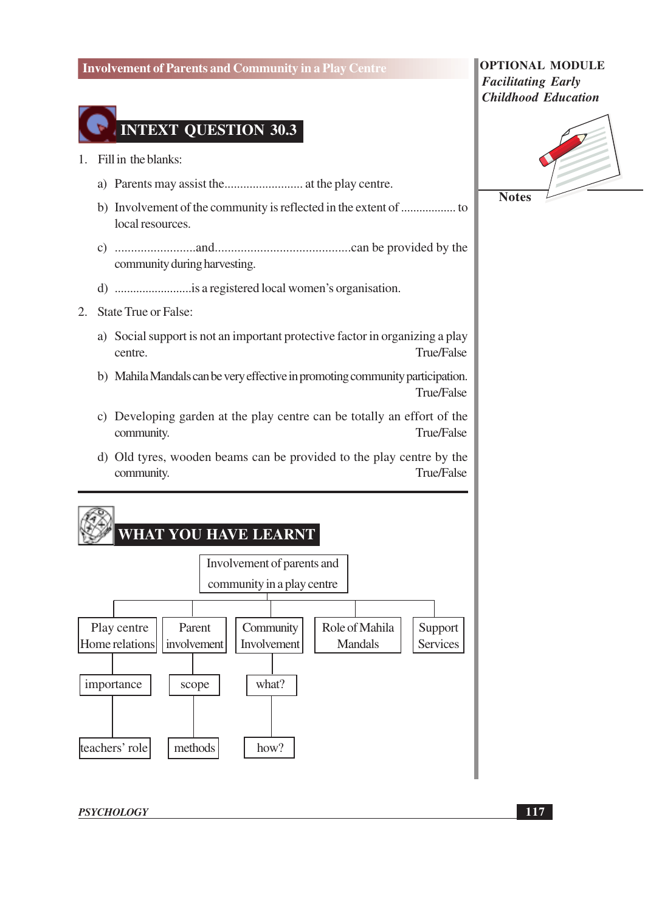

- 1. Fill in the blanks:
	-
	- local resources.
	- community during harvesting.
	-
- 2. State True or False:
	- a) Social support is not an important protective factor in organizing a play centre. True/False
	- b) Mahila Mandals can be very effective in promoting community participation. True/False
	- c) Developing garden at the play centre can be totally an effort of the **True/False** community.
	- d) Old tyres, wooden beams can be provided to the play centre by the True/False community.



**OPTIONAL MODULE Facilitating Early Childhood Education** 



**Notes** 

**PSYCHOLOGY**